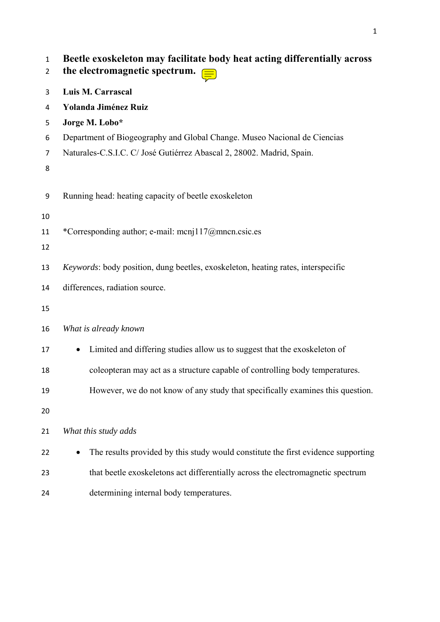| $\mathbf{1}$<br>$\overline{2}$ | Beetle exoskeleton may facilitate body heat acting differentially across<br>the electromagnetic spectrum. $\equiv$ |
|--------------------------------|--------------------------------------------------------------------------------------------------------------------|
| 3                              | Luis M. Carrascal                                                                                                  |
| 4                              | <b>Yolanda Jiménez Ruiz</b>                                                                                        |
| 5                              | Jorge M. Lobo*                                                                                                     |
| 6                              | Department of Biogeography and Global Change. Museo Nacional de Ciencias                                           |
| 7<br>8                         | Naturales-C.S.I.C. C/ José Gutiérrez Abascal 2, 28002. Madrid, Spain.                                              |
| 9                              | Running head: heating capacity of beetle exoskeleton                                                               |
| 10<br>11                       | *Corresponding author; e-mail: mcnj117@mncn.csic.es                                                                |
| 12                             |                                                                                                                    |
| 13                             | Keywords: body position, dung beetles, exoskeleton, heating rates, interspecific                                   |
| 14<br>15                       | differences, radiation source.                                                                                     |
| 16                             | What is already known                                                                                              |
| 17                             | Limited and differing studies allow us to suggest that the exoskeleton of<br>$\bullet$                             |
| 18                             | coleopteran may act as a structure capable of controlling body temperatures.                                       |
| 19                             | However, we do not know of any study that specifically examines this question.                                     |
| 20                             |                                                                                                                    |
| 21                             | What this study adds                                                                                               |
| 22                             | The results provided by this study would constitute the first evidence supporting                                  |
| 23                             | that beetle exoskeletons act differentially across the electromagnetic spectrum                                    |
| 24                             | determining internal body temperatures.                                                                            |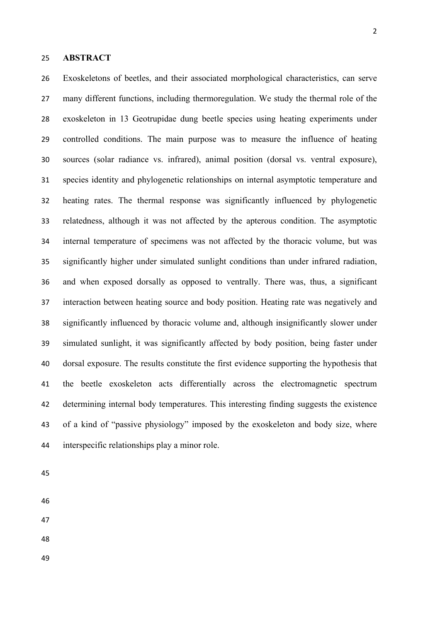### **ABSTRACT**

 Exoskeletons of beetles, and their associated morphological characteristics, can serve many different functions, including thermoregulation. We study the thermal role of the exoskeleton in 13 Geotrupidae dung beetle species using heating experiments under controlled conditions. The main purpose was to measure the influence of heating sources (solar radiance vs. infrared), animal position (dorsal vs. ventral exposure), species identity and phylogenetic relationships on internal asymptotic temperature and heating rates. The thermal response was significantly influenced by phylogenetic relatedness, although it was not affected by the apterous condition. The asymptotic internal temperature of specimens was not affected by the thoracic volume, but was significantly higher under simulated sunlight conditions than under infrared radiation, and when exposed dorsally as opposed to ventrally. There was, thus, a significant interaction between heating source and body position. Heating rate was negatively and significantly influenced by thoracic volume and, although insignificantly slower under simulated sunlight, it was significantly affected by body position, being faster under dorsal exposure. The results constitute the first evidence supporting the hypothesis that the beetle exoskeleton acts differentially across the electromagnetic spectrum determining internal body temperatures. This interesting finding suggests the existence of a kind of "passive physiology" imposed by the exoskeleton and body size, where interspecific relationships play a minor role.

- 
- 
- 
- 
-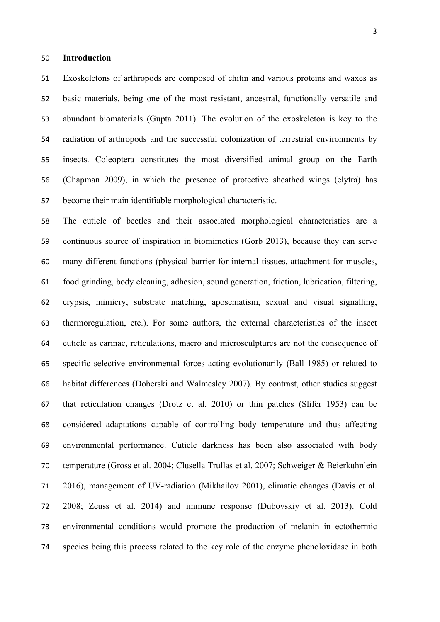#### **Introduction**

 Exoskeletons of arthropods are composed of chitin and various proteins and waxes as basic materials, being one of the most resistant, ancestral, functionally versatile and abundant biomaterials (Gupta 2011). The evolution of the exoskeleton is key to the radiation of arthropods and the successful colonization of terrestrial environments by insects. Coleoptera constitutes the most diversified animal group on the Earth (Chapman 2009), in which the presence of protective sheathed wings (elytra) has become their main identifiable morphological characteristic.

 The cuticle of beetles and their associated morphological characteristics are a continuous source of inspiration in biomimetics (Gorb 2013), because they can serve many different functions (physical barrier for internal tissues, attachment for muscles, food grinding, body cleaning, adhesion, sound generation, friction, lubrication, filtering, crypsis, mimicry, substrate matching, aposematism, sexual and visual signalling, thermoregulation, etc.). For some authors, the external characteristics of the insect cuticle as carinae, reticulations, macro and microsculptures are not the consequence of specific selective environmental forces acting evolutionarily (Ball 1985) or related to habitat differences (Doberski and Walmesley 2007). By contrast, other studies suggest that reticulation changes (Drotz et al. 2010) or thin patches (Slifer 1953) can be considered adaptations capable of controlling body temperature and thus affecting environmental performance. Cuticle darkness has been also associated with body temperature (Gross et al. 2004; Clusella Trullas et al. 2007; Schweiger & Beierkuhnlein 2016), management of UV-radiation (Mikhailov 2001), climatic changes (Davis et al. 2008; Zeuss et al. 2014) and immune response (Dubovskiy et al. 2013). Cold environmental conditions would promote the production of melanin in ectothermic species being this process related to the key role of the enzyme phenoloxidase in both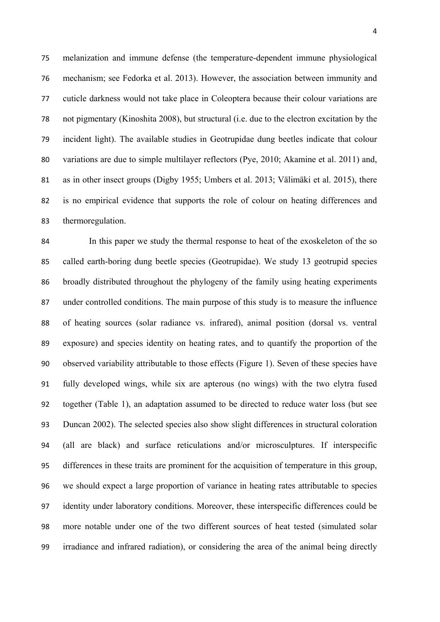melanization and immune defense (the temperature-dependent immune physiological mechanism; see Fedorka et al. 2013). However, the association between immunity and cuticle darkness would not take place in Coleoptera because their colour variations are not pigmentary (Kinoshita 2008), but structural (i.e. due to the electron excitation by the incident light). The available studies in Geotrupidae dung beetles indicate that colour variations are due to simple multilayer reflectors (Pye, 2010; Akamine et al. 2011) and, as in other insect groups (Digby 1955; Umbers et al. 2013; Välimäki et al. 2015), there is no empirical evidence that supports the role of colour on heating differences and thermoregulation.

 In this paper we study the thermal response to heat of the exoskeleton of the so called earth-boring dung beetle species (Geotrupidae). We study 13 geotrupid species broadly distributed throughout the phylogeny of the family using heating experiments under controlled conditions. The main purpose of this study is to measure the influence of heating sources (solar radiance vs. infrared), animal position (dorsal vs. ventral exposure) and species identity on heating rates, and to quantify the proportion of the observed variability attributable to those effects (Figure 1). Seven of these species have fully developed wings, while six are apterous (no wings) with the two elytra fused together (Table 1), an adaptation assumed to be directed to reduce water loss (but see Duncan 2002). The selected species also show slight differences in structural coloration (all are black) and surface reticulations and/or microsculptures. If interspecific differences in these traits are prominent for the acquisition of temperature in this group, we should expect a large proportion of variance in heating rates attributable to species identity under laboratory conditions. Moreover, these interspecific differences could be more notable under one of the two different sources of heat tested (simulated solar irradiance and infrared radiation), or considering the area of the animal being directly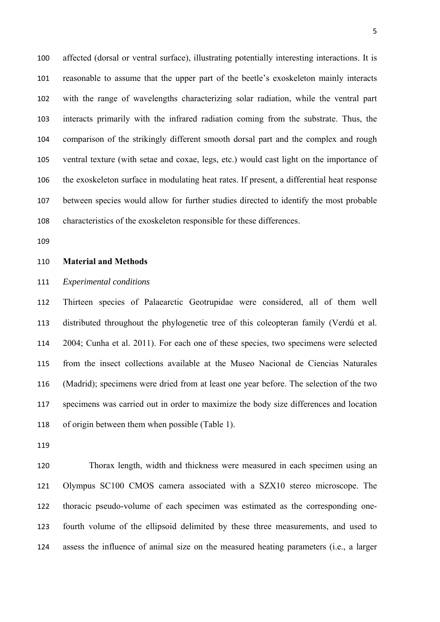affected (dorsal or ventral surface), illustrating potentially interesting interactions. It is reasonable to assume that the upper part of the beetle's exoskeleton mainly interacts with the range of wavelengths characterizing solar radiation, while the ventral part interacts primarily with the infrared radiation coming from the substrate. Thus, the comparison of the strikingly different smooth dorsal part and the complex and rough ventral texture (with setae and coxae, legs, etc.) would cast light on the importance of the exoskeleton surface in modulating heat rates. If present, a differential heat response between species would allow for further studies directed to identify the most probable characteristics of the exoskeleton responsible for these differences.

#### **Material and Methods**

### *Experimental conditions*

 Thirteen species of Palaearctic Geotrupidae were considered, all of them well distributed throughout the phylogenetic tree of this coleopteran family (Verdú et al. 2004; Cunha et al. 2011). For each one of these species, two specimens were selected from the insect collections available at the Museo Nacional de Ciencias Naturales (Madrid); specimens were dried from at least one year before. The selection of the two specimens was carried out in order to maximize the body size differences and location of origin between them when possible (Table 1).

 Thorax length, width and thickness were measured in each specimen using an Olympus SC100 CMOS camera associated with a SZX10 stereo microscope. The thoracic pseudo-volume of each specimen was estimated as the corresponding one- fourth volume of the ellipsoid delimited by these three measurements, and used to assess the influence of animal size on the measured heating parameters (i.e., a larger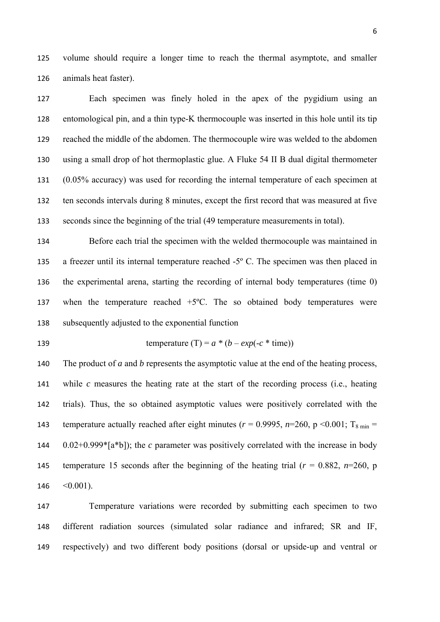volume should require a longer time to reach the thermal asymptote, and smaller animals heat faster).

 Each specimen was finely holed in the apex of the pygidium using an entomological pin, and a thin type-K thermocouple was inserted in this hole until its tip reached the middle of the abdomen. The thermocouple wire was welded to the abdomen using a small drop of hot thermoplastic glue. A Fluke 54 II B dual digital thermometer (0.05% accuracy) was used for recording the internal temperature of each specimen at ten seconds intervals during 8 minutes, except the first record that was measured at five seconds since the beginning of the trial (49 temperature measurements in total).

 Before each trial the specimen with the welded thermocouple was maintained in a freezer until its internal temperature reached -5º C. The specimen was then placed in the experimental arena, starting the recording of internal body temperatures (time 0) when the temperature reached +5ºC. The so obtained body temperatures were subsequently adjusted to the exponential function

139 temperature (T) = 
$$
a * (b - exp(-c * time))
$$

 The product of *a* and *b* represents the asymptotic value at the end of the heating process, while *c* measures the heating rate at the start of the recording process (i.e., heating trials). Thus, the so obtained asymptotic values were positively correlated with the 143 temperature actually reached after eight minutes ( $r = 0.9995$ ,  $n=260$ ,  $p \le 0.001$ ; T<sub>8 min</sub> = 0.02+0.999\*[a\*b]); the *c* parameter was positively correlated with the increase in body 145 temperature 15 seconds after the beginning of the heating trial  $(r = 0.882, n=260, p)$  $< 0.001$ ).

 Temperature variations were recorded by submitting each specimen to two different radiation sources (simulated solar radiance and infrared; SR and IF, respectively) and two different body positions (dorsal or upside-up and ventral or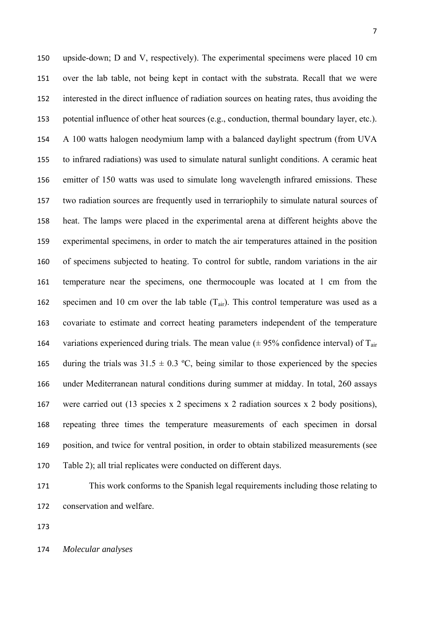upside-down; D and V, respectively). The experimental specimens were placed 10 cm over the lab table, not being kept in contact with the substrata. Recall that we were interested in the direct influence of radiation sources on heating rates, thus avoiding the potential influence of other heat sources (e.g., conduction, thermal boundary layer, etc.). A 100 watts halogen neodymium lamp with a balanced daylight spectrum (from UVA to infrared radiations) was used to simulate natural sunlight conditions. A ceramic heat emitter of 150 watts was used to simulate long wavelength infrared emissions. These two radiation sources are frequently used in terrariophily to simulate natural sources of heat. The lamps were placed in the experimental arena at different heights above the experimental specimens, in order to match the air temperatures attained in the position of specimens subjected to heating. To control for subtle, random variations in the air temperature near the specimens, one thermocouple was located at 1 cm from the 162 specimen and 10 cm over the lab table  $(T_{air})$ . This control temperature was used as a covariate to estimate and correct heating parameters independent of the temperature 164 variations experienced during trials. The mean value  $(\pm 95\%$  confidence interval) of T<sub>air</sub> 165 during the trials was  $31.5 \pm 0.3$  °C, being similar to those experienced by the species under Mediterranean natural conditions during summer at midday. In total, 260 assays were carried out (13 species x 2 specimens x 2 radiation sources x 2 body positions), repeating three times the temperature measurements of each specimen in dorsal position, and twice for ventral position, in order to obtain stabilized measurements (see Table 2); all trial replicates were conducted on different days.

 This work conforms to the Spanish legal requirements including those relating to conservation and welfare.

*Molecular analyses*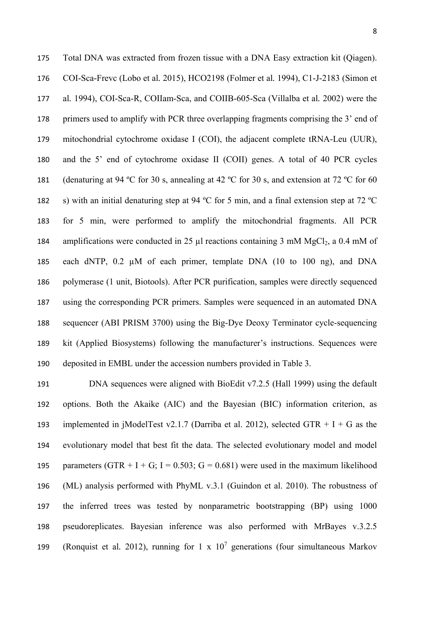Total DNA was extracted from frozen tissue with a DNA Easy extraction kit (Qiagen). COI-Sca-Frevc (Lobo et al*.* 2015), HCO2198 (Folmer et al*.* 1994), C1-J-2183 (Simon et al*.* 1994), COI-Sca-R, COIIam-Sca, and COIIB-605-Sca (Villalba et al*.* 2002) were the primers used to amplify with PCR three overlapping fragments comprising the 3' end of mitochondrial cytochrome oxidase I (COI), the adjacent complete tRNA-Leu (UUR), and the 5' end of cytochrome oxidase II (COII) genes. A total of 40 PCR cycles 181 (denaturing at 94 °C for 30 s, annealing at 42 °C for 30 s, and extension at 72 °C for 60 s) with an initial denaturing step at 94 ºC for 5 min, and a final extension step at 72 ºC for 5 min, were performed to amplify the mitochondrial fragments. All PCR 184 amplifications were conducted in 25  $\mu$ l reactions containing 3 mM MgCl<sub>2</sub>, a 0.4 mM of each dNTP, 0.2 µM of each primer, template DNA (10 to 100 ng), and DNA polymerase (1 unit, Biotools). After PCR purification, samples were directly sequenced using the corresponding PCR primers. Samples were sequenced in an automated DNA sequencer (ABI PRISM 3700) using the Big-Dye Deoxy Terminator cycle-sequencing kit (Applied Biosystems) following the manufacturer's instructions. Sequences were deposited in EMBL under the accession numbers provided in Table 3.

 DNA sequences were aligned with BioEdit v7.2.5 (Hall 1999) using the default options. Both the Akaike (AIC) and the Bayesian (BIC) information criterion, as 193 implemented in jModelTest v2.1.7 (Darriba et al. 2012), selected GTR  $+$  I  $+$  G as the evolutionary model that best fit the data. The selected evolutionary model and model 195 parameters  $(GTR + I + G; I = 0.503; G = 0.681)$  were used in the maximum likelihood (ML) analysis performed with PhyML v.3.1 (Guindon et al. 2010). The robustness of the inferred trees was tested by nonparametric bootstrapping (BP) using 1000 pseudoreplicates. Bayesian inference was also performed with MrBayes v.3.2.5 199 (Ronquist et al. 2012), running for  $1 \times 10^7$  generations (four simultaneous Markov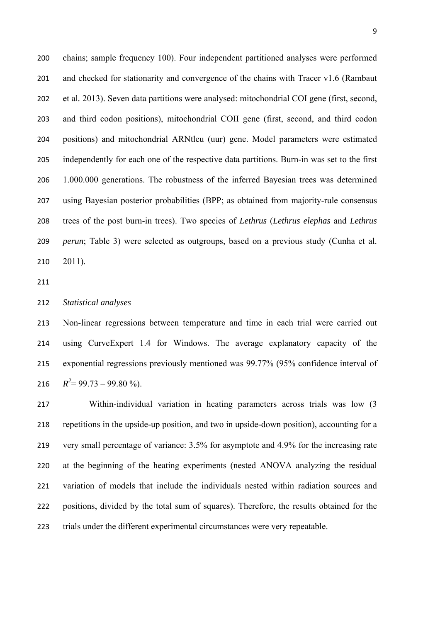chains; sample frequency 100). Four independent partitioned analyses were performed and checked for stationarity and convergence of the chains with Tracer v1.6 (Rambaut et al*.* 2013). Seven data partitions were analysed: mitochondrial COI gene (first, second, and third codon positions), mitochondrial COII gene (first, second, and third codon positions) and mitochondrial ARNtleu (uur) gene. Model parameters were estimated independently for each one of the respective data partitions. Burn-in was set to the first 1.000.000 generations. The robustness of the inferred Bayesian trees was determined using Bayesian posterior probabilities (BPP; as obtained from majority-rule consensus trees of the post burn-in trees). Two species of *Lethrus* (*Lethrus elephas* and *Lethrus perun*; Table 3) were selected as outgroups, based on a previous study (Cunha et al. 2011).

### *Statistical analyses*

 Non-linear regressions between temperature and time in each trial were carried out using CurveExpert 1.4 for Windows. The average explanatory capacity of the exponential regressions previously mentioned was 99.77% (95% confidence interval of  $R^2 = 99.73 - 99.80\%$ ).

 Within-individual variation in heating parameters across trials was low (3 repetitions in the upside-up position, and two in upside-down position), accounting for a very small percentage of variance: 3.5% for asymptote and 4.9% for the increasing rate at the beginning of the heating experiments (nested ANOVA analyzing the residual variation of models that include the individuals nested within radiation sources and positions, divided by the total sum of squares). Therefore, the results obtained for the trials under the different experimental circumstances were very repeatable.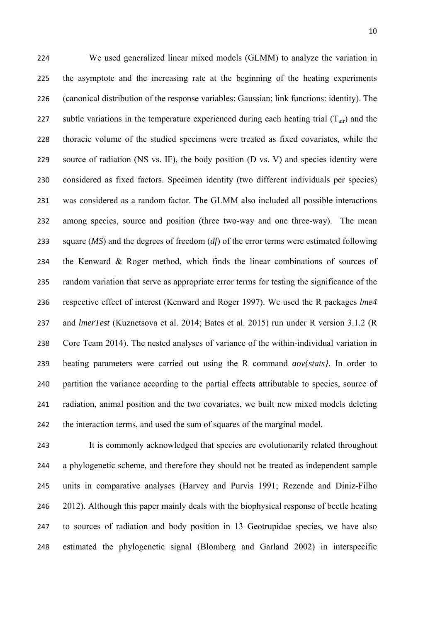We used generalized linear mixed models (GLMM) to analyze the variation in the asymptote and the increasing rate at the beginning of the heating experiments (canonical distribution of the response variables: Gaussian; link functions: identity). The 227 subtle variations in the temperature experienced during each heating trial  $(T_{air})$  and the thoracic volume of the studied specimens were treated as fixed covariates, while the source of radiation (NS vs. IF), the body position (D vs. V) and species identity were considered as fixed factors. Specimen identity (two different individuals per species) was considered as a random factor. The GLMM also included all possible interactions among species, source and position (three two-way and one three-way). The mean square (*MS*) and the degrees of freedom (*df*) of the error terms were estimated following the Kenward & Roger method, which finds the linear combinations of sources of random variation that serve as appropriate error terms for testing the significance of the respective effect of interest (Kenward and Roger 1997). We used the R packages *lme4* and *lmerTest* (Kuznetsova et al. 2014; Bates et al. 2015) run under R version 3.1.2 (R Core Team 2014). The nested analyses of variance of the within-individual variation in heating parameters were carried out using the R command *aov{stats}*. In order to partition the variance according to the partial effects attributable to species, source of radiation, animal position and the two covariates, we built new mixed models deleting 242 the interaction terms, and used the sum of squares of the marginal model.

 It is commonly acknowledged that species are evolutionarily related throughout a phylogenetic scheme, and therefore they should not be treated as independent sample units in comparative analyses (Harvey and Purvis 1991; Rezende and Diniz-Filho 2012). Although this paper mainly deals with the biophysical response of beetle heating to sources of radiation and body position in 13 Geotrupidae species, we have also estimated the phylogenetic signal (Blomberg and Garland 2002) in interspecific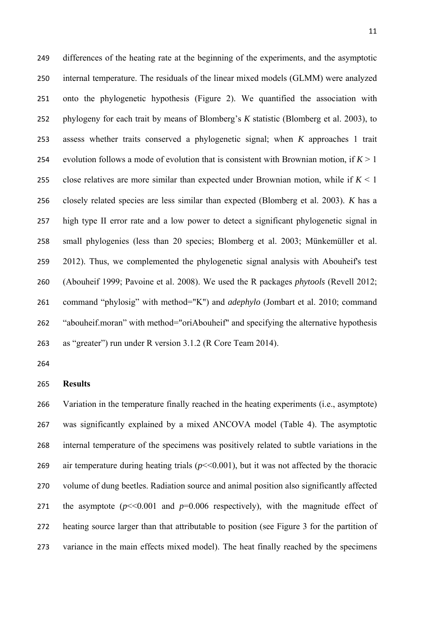differences of the heating rate at the beginning of the experiments, and the asymptotic internal temperature. The residuals of the linear mixed models (GLMM) were analyzed onto the phylogenetic hypothesis (Figure 2). We quantified the association with phylogeny for each trait by means of Blomberg's *K* statistic (Blomberg et al. 2003), to assess whether traits conserved a phylogenetic signal; when *K* approaches 1 trait 254 evolution follows a mode of evolution that is consistent with Brownian motion, if  $K > 1$ 255 close relatives are more similar than expected under Brownian motion, while if  $K < 1$  closely related species are less similar than expected (Blomberg et al. 2003). *K* has a high type II error rate and a low power to detect a significant phylogenetic signal in small phylogenies (less than 20 species; Blomberg et al. 2003; Münkemüller et al. 2012). Thus, we complemented the phylogenetic signal analysis with Abouheif's test (Abouheif 1999; Pavoine et al. 2008). We used the R packages *phytools* (Revell 2012; command "phylosig" with method="K") and *adephylo* (Jombart et al. 2010; command 262 "abouheif.moran" with method="oriAbouheif" and specifying the alternative hypothesis as "greater") run under R version 3.1.2 (R Core Team 2014).

## **Results**

 Variation in the temperature finally reached in the heating experiments (i.e., asymptote) was significantly explained by a mixed ANCOVA model (Table 4). The asymptotic internal temperature of the specimens was positively related to subtle variations in the 269 air temperature during heating trials  $(p<0.001)$ , but it was not affected by the thoracic volume of dung beetles. Radiation source and animal position also significantly affected 271 the asymptote  $(p<0.001$  and  $p=0.006$  respectively), with the magnitude effect of heating source larger than that attributable to position (see Figure 3 for the partition of variance in the main effects mixed model). The heat finally reached by the specimens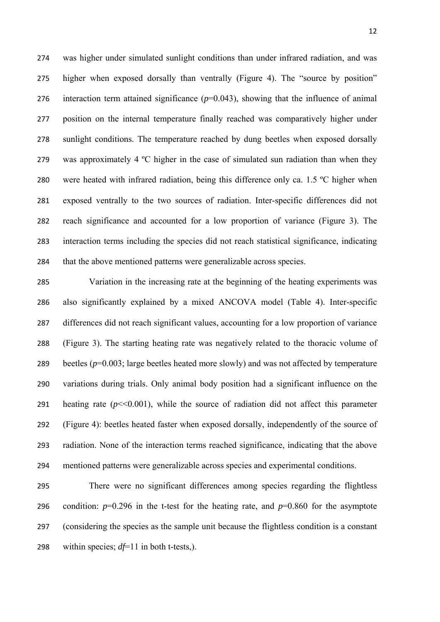was higher under simulated sunlight conditions than under infrared radiation, and was higher when exposed dorsally than ventrally (Figure 4). The "source by position" 276 interaction term attained significance  $(p=0.043)$ , showing that the influence of animal position on the internal temperature finally reached was comparatively higher under sunlight conditions. The temperature reached by dung beetles when exposed dorsally 279 was approximately 4 °C higher in the case of simulated sun radiation than when they 280 were heated with infrared radiation, being this difference only ca. 1.5 °C higher when exposed ventrally to the two sources of radiation. Inter-specific differences did not reach significance and accounted for a low proportion of variance (Figure 3). The interaction terms including the species did not reach statistical significance, indicating that the above mentioned patterns were generalizable across species.

 Variation in the increasing rate at the beginning of the heating experiments was also significantly explained by a mixed ANCOVA model (Table 4). Inter-specific differences did not reach significant values, accounting for a low proportion of variance (Figure 3). The starting heating rate was negatively related to the thoracic volume of 289 beetles ( $p=0.003$ ; large beetles heated more slowly) and was not affected by temperature variations during trials. Only animal body position had a significant influence on the 291 heating rate  $(p<0.001)$ , while the source of radiation did not affect this parameter (Figure 4): beetles heated faster when exposed dorsally, independently of the source of radiation. None of the interaction terms reached significance, indicating that the above mentioned patterns were generalizable across species and experimental conditions.

 There were no significant differences among species regarding the flightless 296 condition:  $p=0.296$  in the t-test for the heating rate, and  $p=0.860$  for the asymptote (considering the species as the sample unit because the flightless condition is a constant within species; *df*=11 in both t-tests,).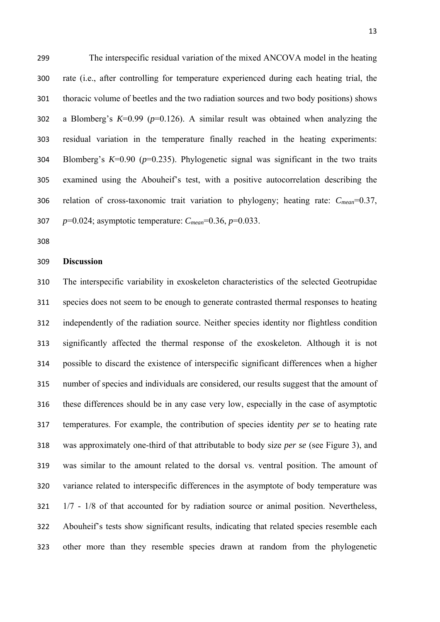The interspecific residual variation of the mixed ANCOVA model in the heating rate (i.e., after controlling for temperature experienced during each heating trial, the thoracic volume of beetles and the two radiation sources and two body positions) shows a Blomberg's *K*=0.99 (*p*=0.126). A similar result was obtained when analyzing the residual variation in the temperature finally reached in the heating experiments: Blomberg's *K*=0.90 (*p*=0.235). Phylogenetic signal was significant in the two traits examined using the Abouheif's test, with a positive autocorrelation describing the relation of cross-taxonomic trait variation to phylogeny; heating rate: *Cmean*=0.37,

*p*=0.024; asymptotic temperature: *Cmean*=0.36, *p*=0.033.

## **Discussion**

 The interspecific variability in exoskeleton characteristics of the selected Geotrupidae species does not seem to be enough to generate contrasted thermal responses to heating independently of the radiation source. Neither species identity nor flightless condition significantly affected the thermal response of the exoskeleton. Although it is not possible to discard the existence of interspecific significant differences when a higher number of species and individuals are considered, our results suggest that the amount of these differences should be in any case very low, especially in the case of asymptotic temperatures. For example, the contribution of species identity *per se* to heating rate was approximately one-third of that attributable to body size *per se* (see Figure 3), and was similar to the amount related to the dorsal vs. ventral position. The amount of variance related to interspecific differences in the asymptote of body temperature was 1/7 - 1/8 of that accounted for by radiation source or animal position. Nevertheless, Abouheif's tests show significant results, indicating that related species resemble each other more than they resemble species drawn at random from the phylogenetic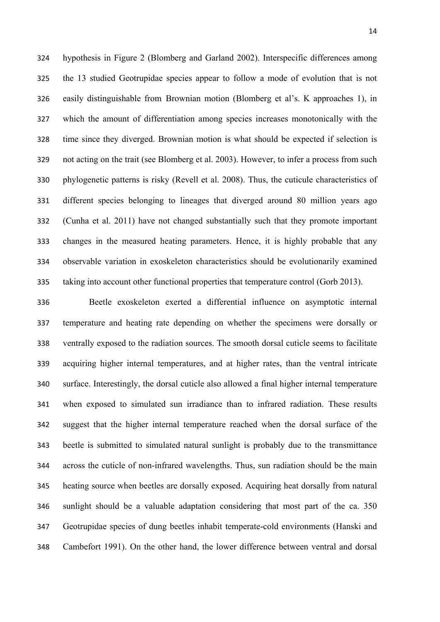hypothesis in Figure 2 (Blomberg and Garland 2002). Interspecific differences among the 13 studied Geotrupidae species appear to follow a mode of evolution that is not easily distinguishable from Brownian motion (Blomberg et al's. K approaches 1), in which the amount of differentiation among species increases monotonically with the time since they diverged. Brownian motion is what should be expected if selection is not acting on the trait (see Blomberg et al. 2003). However, to infer a process from such phylogenetic patterns is risky (Revell et al. 2008). Thus, the cuticule characteristics of different species belonging to lineages that diverged around 80 million years ago (Cunha et al. 2011) have not changed substantially such that they promote important changes in the measured heating parameters. Hence, it is highly probable that any observable variation in exoskeleton characteristics should be evolutionarily examined taking into account other functional properties that temperature control (Gorb 2013).

 Beetle exoskeleton exerted a differential influence on asymptotic internal temperature and heating rate depending on whether the specimens were dorsally or ventrally exposed to the radiation sources. The smooth dorsal cuticle seems to facilitate acquiring higher internal temperatures, and at higher rates, than the ventral intricate surface. Interestingly, the dorsal cuticle also allowed a final higher internal temperature when exposed to simulated sun irradiance than to infrared radiation. These results suggest that the higher internal temperature reached when the dorsal surface of the beetle is submitted to simulated natural sunlight is probably due to the transmittance across the cuticle of non-infrared wavelengths. Thus, sun radiation should be the main heating source when beetles are dorsally exposed. Acquiring heat dorsally from natural sunlight should be a valuable adaptation considering that most part of the ca. 350 Geotrupidae species of dung beetles inhabit temperate-cold environments (Hanski and Cambefort 1991). On the other hand, the lower difference between ventral and dorsal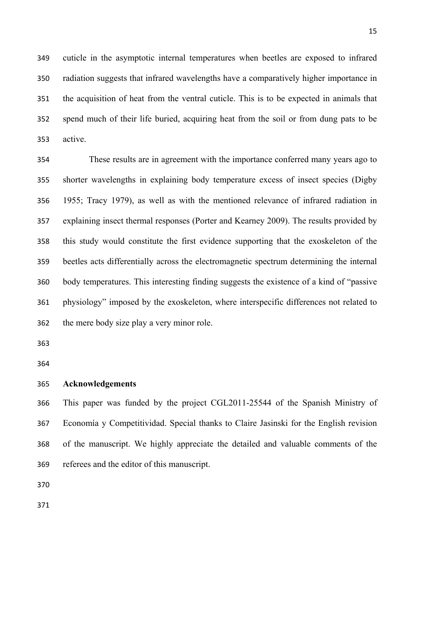cuticle in the asymptotic internal temperatures when beetles are exposed to infrared radiation suggests that infrared wavelengths have a comparatively higher importance in the acquisition of heat from the ventral cuticle. This is to be expected in animals that spend much of their life buried, acquiring heat from the soil or from dung pats to be active.

 These results are in agreement with the importance conferred many years ago to shorter wavelengths in explaining body temperature excess of insect species (Digby 1955; Tracy 1979), as well as with the mentioned relevance of infrared radiation in explaining insect thermal responses (Porter and Kearney 2009). The results provided by this study would constitute the first evidence supporting that the exoskeleton of the beetles acts differentially across the electromagnetic spectrum determining the internal body temperatures. This interesting finding suggests the existence of a kind of "passive physiology" imposed by the exoskeleton, where interspecific differences not related to the mere body size play a very minor role.

# **Acknowledgements**

 This paper was funded by the project CGL2011-25544 of the Spanish Ministry of Economía y Competitividad. Special thanks to Claire Jasinski for the English revision of the manuscript. We highly appreciate the detailed and valuable comments of the referees and the editor of this manuscript.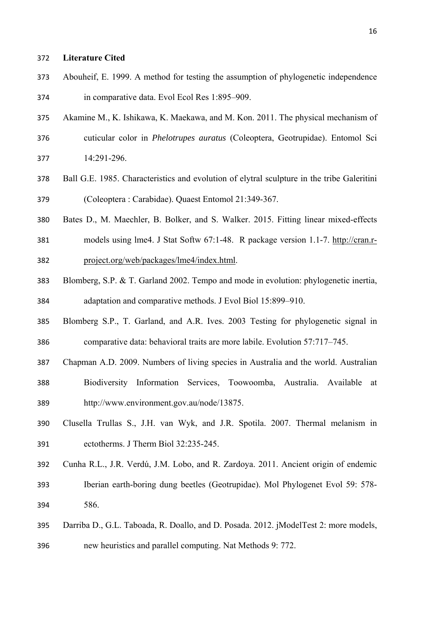### **Literature Cited**

- Abouheif, E. 1999. A method for testing the assumption of phylogenetic independence in comparative data. Evol Ecol Res 1:895–909.
- Akamine M., K. Ishikawa, K. Maekawa, and M. Kon. 2011. The physical mechanism of cuticular color in *Phelotrupes auratus* (Coleoptera, Geotrupidae). Entomol Sci 14:291-296.
- Ball G.E. 1985. Characteristics and evolution of elytral sculpture in the tribe Galeritini (Coleoptera : Carabidae). Quaest Entomol 21:349-367.
- Bates D., M. Maechler, B. Bolker, and S. Walker. 2015. Fitting linear mixed-effects
- models using lme4. J Stat Softw 67:1-48. R package version 1.1-7. http://cran.r-project.org/web/packages/lme4/index.html.
- Blomberg, S.P. & T. Garland 2002. Tempo and mode in evolution: phylogenetic inertia, adaptation and comparative methods. J Evol Biol 15:899–910.
- Blomberg S.P., T. Garland, and A.R. Ives. 2003 Testing for phylogenetic signal in comparative data: behavioral traits are more labile. Evolution 57:717–745.
- Chapman A.D. 2009. Numbers of living species in Australia and the world. Australian
- Biodiversity Information Services, Toowoomba, Australia. Available at http://www.environment.gov.au/node/13875.
- Clusella Trullas S., J.H. van Wyk, and J.R. Spotila. 2007. Thermal melanism in ectotherms. J Therm Biol 32:235-245.
- Cunha R.L., J.R. Verdú, J.M. Lobo, and R. Zardoya. 2011. Ancient origin of endemic Iberian earth-boring dung beetles (Geotrupidae). Mol Phylogenet Evol 59: 578- 586.
- Darriba D., G.L. Taboada, R. Doallo, and D. Posada. 2012. jModelTest 2: more models, new heuristics and parallel computing. Nat Methods 9: 772.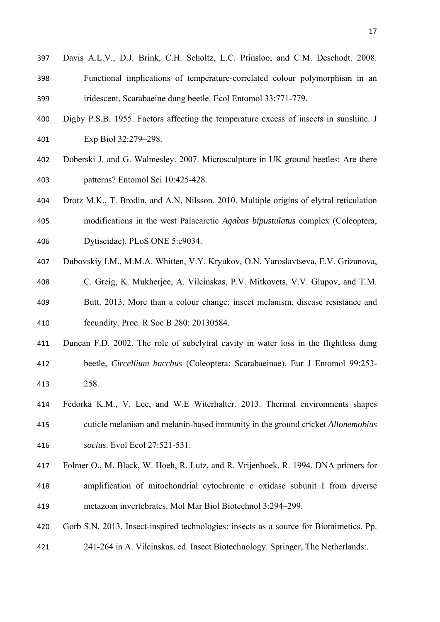- Davis A.L.V., D.J. Brink, C.H. Scholtz, L.C. Prinsloo, and C.M. Deschodt. 2008. Functional implications of temperature-correlated colour polymorphism in an iridescent, Scarabaeine dung beetle. Ecol Entomol 33:771-779.
- Digby P.S.B. 1955. Factors affecting the temperature excess of insects in sunshine. J Exp Biol 32:279–298.
- Doberski J. and G. Walmesley. 2007. Microsculpture in UK ground beetles: Are there patterns? Entomol Sci 10:425-428.
- Drotz M.K., T. Brodin, and A.N. Nilsson. 2010. Multiple origins of elytral reticulation modifications in the west Palaearctic *Agabus bipustulatus* complex (Coleoptera, Dytiscidae). PLoS ONE 5:e9034.
- Dubovskiy I.M., M.M.A. Whitten, V.Y. Kryukov, O.N. Yaroslavtseva, E.V. Grizanova,
- C. Greig, K. Mukherjee, A. Vilcinskas, P.V. Mitkovets, V.V. Glupov, and T.M. Butt. 2013. More than a colour change: insect melanism, disease resistance and fecundity. Proc. R Soc B 280: 20130584.
- Duncan F.D. 2002. The role of subelytral cavity in water loss in the flightless dung beetle, *Circellium bacchus* (Coleoptera: Scarabaeinae). Eur J Entomol 99:253- 258.
- Fedorka K.M., V. Lee, and W.E Witerhalter. 2013. Thermal environments shapes cuticle melanism and melanin-based immunity in the ground cricket *Allonemobius socius*. Evol Ecol 27:521-531.
- Folmer O., M. Black, W. Hoeh, R. Lutz, and R. Vrijenhoek, R. 1994. DNA primers for amplification of mitochondrial cytochrome c oxidase subunit I from diverse metazoan invertebrates. Mol Mar Biol Biotechnol 3:294–299.
- Gorb S.N. 2013. Insect-inspired technologies: insects as a source for Biomimetics. Pp.
- 241-264 in A. Vilcinskas, ed. Insect Biotechnology. Springer, The Netherlands:.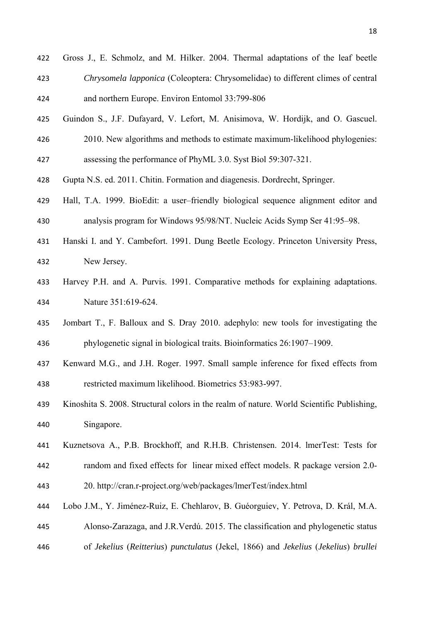- Guindon S., J.F. Dufayard, V. Lefort, M. Anisimova, W. Hordijk, and O. Gascuel.
- 2010. New algorithms and methods to estimate maximum-likelihood phylogenies: assessing the performance of PhyML 3.0. Syst Biol 59:307-321.
- Gupta N.S. ed. 2011. Chitin. Formation and diagenesis. Dordrecht, Springer.
- Hall, T.A. 1999. BioEdit: a user–friendly biological sequence alignment editor and analysis program for Windows 95/98/NT. Nucleic Acids Symp Ser 41:95–98.
- Hanski I. and Y. Cambefort. 1991. Dung Beetle Ecology. Princeton University Press, New Jersey.
- Harvey P.H. and A. Purvis. 1991. Comparative methods for explaining adaptations. Nature 351:619-624.
- Jombart T., F. Balloux and S. Dray 2010. adephylo: new tools for investigating the phylogenetic signal in biological traits. Bioinformatics 26:1907–1909.
- Kenward M.G., and J.H. Roger. 1997. Small sample inference for fixed effects from restricted maximum likelihood. Biometrics 53:983-997.
- Kinoshita S. 2008. Structural colors in the realm of nature. World Scientific Publishing, Singapore.
- Kuznetsova A., P.B. Brockhoff, and R.H.B. Christensen. 2014. lmerTest: Tests for random and fixed effects for linear mixed effect models. R package version 2.0- 20. http://cran.r-project.org/web/packages/lmerTest/index.html
- Lobo J.M., Y. Jiménez-Ruiz, E. Chehlarov, B. Guéorguiev, Y. Petrova, D. Král, M.A. Alonso-Zarazaga, and J.R.Verdú. 2015. The classification and phylogenetic status of *Jekelius* (*Reitterius*) *punctulatus* (Jekel, 1866) and *Jekelius* (*Jekelius*) *brullei*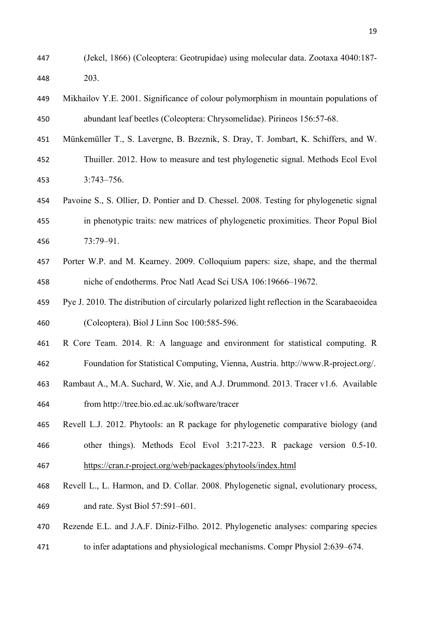- (Jekel, 1866) (Coleoptera: Geotrupidae) using molecular data. Zootaxa 4040:187- 203.
- Mikhailov Y.E. 2001. Significance of colour polymorphism in mountain populations of abundant leaf beetles (Coleoptera: Chrysomelidae). Pirineos 156:57-68.
- Münkemüller T., S. Lavergne, B. Bzeznik, S. Dray, T. Jombart, K. Schiffers, and W. Thuiller. 2012. How to measure and test phylogenetic signal. Methods Ecol Evol 3:743–756.
- Pavoine S., S. Ollier, D. Pontier and D. Chessel. 2008. Testing for phylogenetic signal in phenotypic traits: new matrices of phylogenetic proximities. Theor Popul Biol 73:79–91.
- Porter W.P. and M. Kearney. 2009. Colloquium papers: size, shape, and the thermal niche of endotherms. Proc Natl Acad Sci USA 106:19666–19672.
- Pye J. 2010. The distribution of circularly polarized light reflection in the Scarabaeoidea (Coleoptera). Biol J Linn Soc 100:585-596.
- R Core Team. 2014. R: A language and environment for statistical computing. R Foundation for Statistical Computing, Vienna, Austria. http://www.R-project.org/.
- Rambaut A., M.A. Suchard, W. Xie, and A.J. Drummond. 2013. Tracer v1.6. Available

from http://tree.bio.ed.ac.uk/software/tracer

- Revell L.J. 2012. Phytools: an R package for phylogenetic comparative biology (and
- other things). Methods Ecol Evol 3:217-223. R package version 0.5-10. https://cran.r-project.org/web/packages/phytools/index.html
- Revell L., L. Harmon, and D. Collar. 2008. Phylogenetic signal, evolutionary process, and rate. Syst Biol 57:591–601.
- Rezende E.L. and J.A.F. Diniz-Filho. 2012. Phylogenetic analyses: comparing species
- to infer adaptations and physiological mechanisms. Compr Physiol 2:639–674.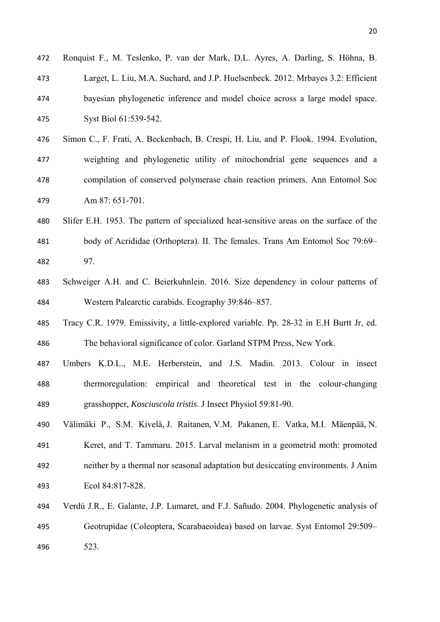| 472 | Ronquist F., M. Teslenko, P. van der Mark, D.L. Ayres, A. Darling, S. Höhna, B.         |
|-----|-----------------------------------------------------------------------------------------|
| 473 | Larget, L. Liu, M.A. Suchard, and J.P. Huelsenbeck. 2012. Mrbayes 3.2: Efficient        |
| 474 | bayesian phylogenetic inference and model choice across a large model space.            |
| 475 | Syst Biol 61:539-542.                                                                   |
| 476 | Simon C., F. Frati, A. Beckenbach, B. Crespi, H. Liu, and P. Flook. 1994. Evolution,    |
| 477 | weighting and phylogenetic utility of mitochondrial gene sequences and a                |
| 478 | compilation of conserved polymerase chain reaction primers. Ann Entomol Soc             |
| 479 | Am 87: 651-701.                                                                         |
| 480 | Slifer E.H. 1953. The pattern of specialized heat-sensitive areas on the surface of the |
| 481 | body of Acrididae (Orthoptera). II. The females. Trans Am Entomol Soc 79:69-            |
| 482 | 97.                                                                                     |
| 483 | Schweiger A.H. and C. Beierkuhnlein. 2016. Size dependency in colour patterns of        |
| 484 | Western Palearctic carabids. Ecography 39:846–857.                                      |
| 485 | Tracy C.R. 1979. Emissivity, a little-explored variable. Pp. 28-32 in E.H Burtt Jr, ed. |
| 486 | The behavioral significance of color. Garland STPM Press, New York.                     |
|     |                                                                                         |

- Umbers K.D.L., M.E. Herberstein, and J.S. Madin. 2013. Colour in insect thermoregulation: empirical and theoretical test in the colour-changing grasshopper, *Kosciuscola tristis*. J Insect Physiol 59:81-90.
- Välimäki P., S.M. Kivelä, J. Raitanen, V.M. Pakanen, E. Vatka, M.I. Mäenpää, N. Keret, and T. Tammaru. 2015. Larval melanism in a geometrid moth: promoted neither by a thermal nor seasonal adaptation but desiccating environments. J Anim Ecol 84:817-828.
- Verdú J.R., E. Galante, J.P. Lumaret, and F.J. Sañudo. 2004. Phylogenetic analysis of Geotrupidae (Coleoptera, Scarabaeoidea) based on larvae. Syst Entomol 29:509– 523.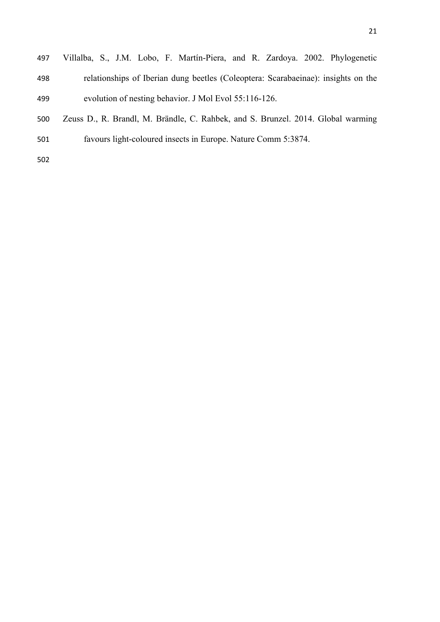- Villalba, S., J.M. Lobo, F. Martín-Piera, and R. Zardoya. 2002. Phylogenetic relationships of Iberian dung beetles (Coleoptera: Scarabaeinae): insights on the evolution of nesting behavior. J Mol Evol 55:116-126.
- Zeuss D., R. Brandl, M. Brändle, C. Rahbek, and S. Brunzel. 2014. Global warming favours light-coloured insects in Europe. Nature Comm 5:3874.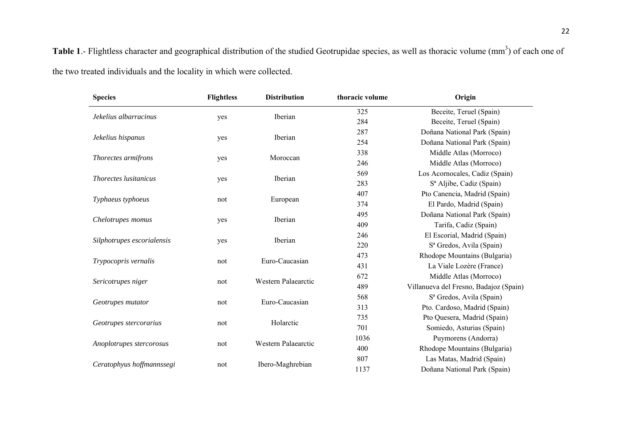Table 1.- Flightless character and geographical distribution of the studied Geotrupidae species, as well as thoracic volume (mm<sup>3</sup>) of each one of the two treated individuals and the locality in which were collected.

| <b>Species</b>               | <b>Flightless</b> | <b>Distribution</b> | thoracic volume | Origin                                 |  |  |
|------------------------------|-------------------|---------------------|-----------------|----------------------------------------|--|--|
|                              |                   |                     | 325             | Beceite, Teruel (Spain)                |  |  |
| Jekelius albarracinus        | yes               | Iberian             | 284             | Beceite, Teruel (Spain)                |  |  |
|                              | yes               |                     | 287             | Doñana National Park (Spain)           |  |  |
| Jekelius hispanus            |                   | Iberian             | 254             | Doñana National Park (Spain)           |  |  |
|                              |                   |                     | 338             | Middle Atlas (Morroco)                 |  |  |
| Thorectes armifrons          | yes               | Moroccan            | 246             | Middle Atlas (Morroco)                 |  |  |
|                              |                   |                     | 569             | Los Acornocales, Cadiz (Spain)         |  |  |
| <i>Thorectes lusitanicus</i> | yes               | Iberian             | 283             | S <sup>a</sup> Aljibe, Cadiz (Spain)   |  |  |
|                              |                   |                     | 407             | Pto Canencia, Madrid (Spain)           |  |  |
| Typhaeus typhoeus            | not               | European            | 374             | El Pardo, Madrid (Spain)               |  |  |
|                              | yes               | Iberian             | 495             | Doñana National Park (Spain)           |  |  |
| Chelotrupes momus            |                   |                     | 409             | Tarifa, Cadiz (Spain)                  |  |  |
|                              |                   |                     | 246             | El Escorial, Madrid (Spain)            |  |  |
| Silphotrupes escorialensis   | yes               | Iberian             | 220             | S <sup>a</sup> Gredos, Avila (Spain)   |  |  |
|                              |                   | Euro-Caucasian      | 473             | Rhodope Mountains (Bulgaria)           |  |  |
| Trypocopris vernalis         | not               |                     | 431             | La Viale Lozère (France)               |  |  |
|                              |                   |                     | 672             | Middle Atlas (Morroco)                 |  |  |
| Sericotrupes niger           | not               | Western Palaearctic | 489             | Villanueva del Fresno, Badajoz (Spain) |  |  |
|                              |                   | Euro-Caucasian      | 568             | S <sup>a</sup> Gredos, Avila (Spain)   |  |  |
| Geotrupes mutator            | not               |                     | 313             | Pto. Cardoso, Madrid (Spain)           |  |  |
|                              | not               | Holarctic           | 735             | Pto Quesera, Madrid (Spain)            |  |  |
| Geotrupes stercorarius       |                   |                     | 701             | Somiedo, Asturias (Spain)              |  |  |
|                              |                   | Western Palaearctic | 1036            | Puymorens (Andorra)                    |  |  |
| Anoplotrupes stercorosus     | not               |                     | 400             | Rhodope Mountains (Bulgaria)           |  |  |
|                              |                   |                     | 807             | Las Matas, Madrid (Spain)              |  |  |
| Ceratophyus hoffmannssegi    | not               | Ibero-Maghrebian    | 1137            | Doñana National Park (Spain)           |  |  |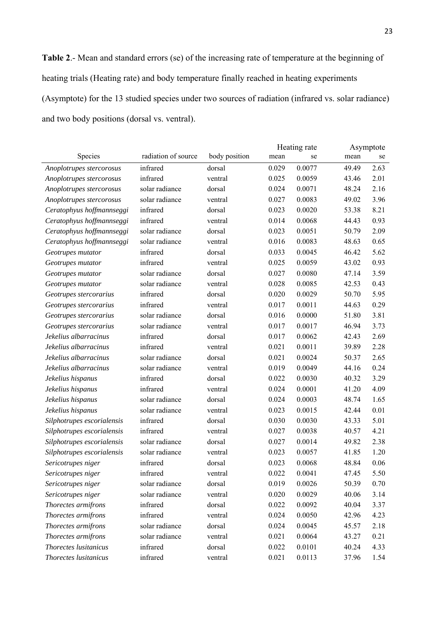**Table 2**.- Mean and standard errors (se) of the increasing rate of temperature at the beginning of heating trials (Heating rate) and body temperature finally reached in heating experiments (Asymptote) for the 13 studied species under two sources of radiation (infrared vs. solar radiance) and two body positions (dorsal vs. ventral).

|                            |                     |               | Heating rate |        | Asymptote |      |
|----------------------------|---------------------|---------------|--------------|--------|-----------|------|
| Species                    | radiation of source | body position | mean         | se     | mean      | se   |
| Anoplotrupes stercorosus   | infrared            | dorsal        | 0.029        | 0.0077 | 49.49     | 2.63 |
| Anoplotrupes stercorosus   | infrared            | ventral       | 0.025        | 0.0059 | 43.46     | 2.01 |
| Anoplotrupes stercorosus   | solar radiance      | dorsal        | 0.024        | 0.0071 | 48.24     | 2.16 |
| Anoplotrupes stercorosus   | solar radiance      | ventral       | 0.027        | 0.0083 | 49.02     | 3.96 |
| Ceratophyus hoffmannseggi  | infrared            | dorsal        | 0.023        | 0.0020 | 53.38     | 8.21 |
| Ceratophyus hoffmannseggi  | infrared            | ventral       | 0.014        | 0.0068 | 44.43     | 0.93 |
| Ceratophyus hoffmannseggi  | solar radiance      | dorsal        | 0.023        | 0.0051 | 50.79     | 2.09 |
| Ceratophyus hoffmannseggi  | solar radiance      | ventral       | 0.016        | 0.0083 | 48.63     | 0.65 |
| Geotrupes mutator          | infrared            | dorsal        | 0.033        | 0.0045 | 46.42     | 5.62 |
| Geotrupes mutator          | infrared            | ventral       | 0.025        | 0.0059 | 43.02     | 0.93 |
| Geotrupes mutator          | solar radiance      | dorsal        | 0.027        | 0.0080 | 47.14     | 3.59 |
| Geotrupes mutator          | solar radiance      | ventral       | 0.028        | 0.0085 | 42.53     | 0.43 |
| Geotrupes stercorarius     | infrared            | dorsal        | 0.020        | 0.0029 | 50.70     | 5.95 |
| Geotrupes stercorarius     | infrared            | ventral       | 0.017        | 0.0011 | 44.63     | 0.29 |
| Geotrupes stercorarius     | solar radiance      | dorsal        | 0.016        | 0.0000 | 51.80     | 3.81 |
| Geotrupes stercorarius     | solar radiance      | ventral       | 0.017        | 0.0017 | 46.94     | 3.73 |
| Jekelius albarracinus      | infrared            | dorsal        | 0.017        | 0.0062 | 42.43     | 2.69 |
| Jekelius albarracinus      | infrared            | ventral       | 0.021        | 0.0011 | 39.89     | 2.28 |
| Jekelius albarracinus      | solar radiance      | dorsal        | 0.021        | 0.0024 | 50.37     | 2.65 |
| Jekelius albarracinus      | solar radiance      | ventral       | 0.019        | 0.0049 | 44.16     | 0.24 |
| Jekelius hispanus          | infrared            | dorsal        | 0.022        | 0.0030 | 40.32     | 3.29 |
| Jekelius hispanus          | infrared            | ventral       | 0.024        | 0.0001 | 41.20     | 4.09 |
| Jekelius hispanus          | solar radiance      | dorsal        | 0.024        | 0.0003 | 48.74     | 1.65 |
| Jekelius hispanus          | solar radiance      | ventral       | 0.023        | 0.0015 | 42.44     | 0.01 |
| Silphotrupes escorialensis | infrared            | dorsal        | 0.030        | 0.0030 | 43.33     | 5.01 |
| Silphotrupes escorialensis | infrared            | ventral       | 0.027        | 0.0038 | 40.57     | 4.21 |
| Silphotrupes escorialensis | solar radiance      | dorsal        | 0.027        | 0.0014 | 49.82     | 2.38 |
| Silphotrupes escorialensis | solar radiance      | ventral       | 0.023        | 0.0057 | 41.85     | 1.20 |
| Sericotrupes niger         | infrared            | dorsal        | 0.023        | 0.0068 | 48.84     | 0.06 |
| Sericotrupes niger         | infrared            | ventral       | 0.022        | 0.0041 | 47.45     | 5.50 |
| Sericotrupes niger         | solar radiance      | dorsal        | 0.019        | 0.0026 | 50.39     | 0.70 |
| Sericotrupes niger         | solar radiance      | ventral       | 0.020        | 0.0029 | 40.06     | 3.14 |
| Thorectes armifrons        | infrared            | dorsal        | 0.022        | 0.0092 | 40.04     | 3.37 |
| Thorectes armifrons        | infrared            | ventral       | 0.024        | 0.0050 | 42.96     | 4.23 |
| Thorectes armifrons        | solar radiance      | dorsal        | 0.024        | 0.0045 | 45.57     | 2.18 |
| Thorectes armifrons        | solar radiance      | ventral       | 0.021        | 0.0064 | 43.27     | 0.21 |
| Thorectes lusitanicus      | infrared            | dorsal        | 0.022        | 0.0101 | 40.24     | 4.33 |
| Thorectes lusitanicus      | infrared            | ventral       | 0.021        | 0.0113 | 37.96     | 1.54 |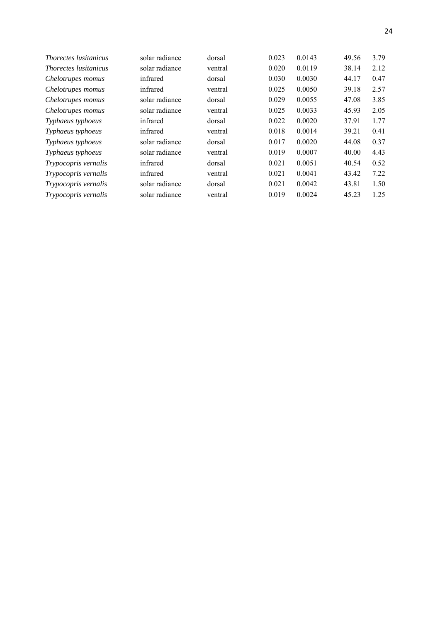| <i>Thorectes lusitanicus</i> | solar radiance | dorsal  | 0.023 | 0.0143 | 49.56 | 3.79 |
|------------------------------|----------------|---------|-------|--------|-------|------|
| <i>Thorectes lusitanicus</i> | solar radiance | ventral | 0.020 | 0.0119 | 38.14 | 2.12 |
| Chelotrupes momus            | infrared       | dorsal  | 0.030 | 0.0030 | 44.17 | 0.47 |
| Chelotrupes momus            | infrared       | ventral | 0.025 | 0.0050 | 39.18 | 2.57 |
| Chelotrupes momus            | solar radiance | dorsal  | 0.029 | 0.0055 | 47.08 | 3.85 |
| Chelotrupes momus            | solar radiance | ventral | 0.025 | 0.0033 | 45.93 | 2.05 |
| Typhaeus typhoeus            | infrared       | dorsal  | 0.022 | 0.0020 | 37.91 | 1.77 |
| Typhaeus typhoeus            | infrared       | ventral | 0.018 | 0.0014 | 39.21 | 0.41 |
| Typhaeus typhoeus            | solar radiance | dorsal  | 0.017 | 0.0020 | 44.08 | 0.37 |
| Typhaeus typhoeus            | solar radiance | ventral | 0.019 | 0.0007 | 40.00 | 4.43 |
| Trypocopris vernalis         | infrared       | dorsal  | 0.021 | 0.0051 | 40.54 | 0.52 |
| Trypocopris vernalis         | infrared       | ventral | 0.021 | 0.0041 | 43.42 | 7.22 |
| Trypocopris vernalis         | solar radiance | dorsal  | 0.021 | 0.0042 | 43.81 | 1.50 |
| Trypocopris vernalis         | solar radiance | ventral | 0.019 | 0.0024 | 45.23 | 1.25 |
|                              |                |         |       |        |       |      |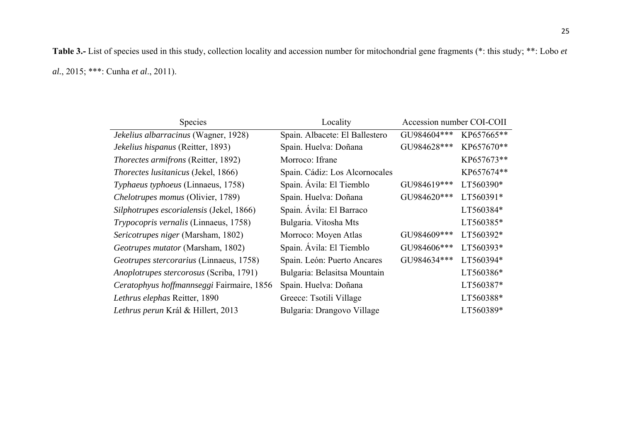**Table 3.-** List of species used in this study, collection locality and accession number for mitochondrial gene fragments (\*: this study; \*\*: Lobo *et al.*, 2015; \*\*\*: Cunha *et al*., 2011).

| <b>Species</b>                             | Locality                       | Accession number COI-COII |            |
|--------------------------------------------|--------------------------------|---------------------------|------------|
| Jekelius albarracinus (Wagner, 1928)       | Spain. Albacete: El Ballestero | GU984604***               | KP657665** |
| Jekelius hispanus (Reitter, 1893)          | Spain. Huelva: Doñana          | GU984628***               | KP657670** |
| <i>Thorectes armifrons</i> (Reitter, 1892) | Morroco: Ifrane                |                           | KP657673** |
| Thorectes lusitanicus (Jekel, 1866)        | Spain. Cádiz: Los Alcornocales |                           | KP657674** |
| Typhaeus typhoeus (Linnaeus, 1758)         | Spain. Ávila: El Tiemblo       | GU984619***               | LT560390*  |
| Chelotrupes momus (Olivier, 1789)          | Spain. Huelva: Doñana          | GU984620***               | LT560391*  |
| Silphotrupes escorialensis (Jekel, 1866)   | Spain. Ávila: El Barraco       |                           | LT560384*  |
| Trypocopris vernalis (Linnaeus, 1758)      | Bulgaria. Vitosha Mts          |                           | LT560385*  |
| Sericotrupes niger (Marsham, 1802)         | Morroco: Moyen Atlas           | GU984609***               | LT560392*  |
| Geotrupes mutator (Marsham, 1802)          | Spain. Ávila: El Tiemblo       | GU984606***               | LT560393*  |
| Geotrupes stercorarius (Linnaeus, 1758)    | Spain. León: Puerto Ancares    | GU984634***               | LT560394*  |
| Anoplotrupes stercorosus (Scriba, 1791)    | Bulgaria: Belasitsa Mountain   |                           | LT560386*  |
| Ceratophyus hoffmannseggi Fairmaire, 1856  | Spain. Huelva: Doñana          |                           | LT560387*  |
| Lethrus elephas Reitter, 1890              | Greece: Tsotili Village        |                           | LT560388*  |
| Lethrus perun Král & Hillert, 2013         | Bulgaria: Drangovo Village     |                           | LT560389*  |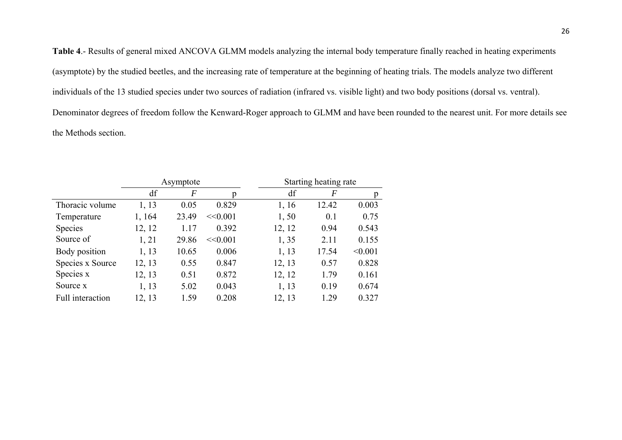**Table 4**.- Results of general mixed ANCOVA GLMM models analyzing the internal body temperature finally reached in heating experiments (asymptote) by the studied beetles, and the increasing rate of temperature at the beginning of heating trials. The models analyze two different individuals of the 13 studied species under two sources of radiation (infrared vs. visible light) and two body positions (dorsal vs. ventral). Denominator degrees of freedom follow the Kenward-Roger approach to GLMM and have been rounded to the nearest unit. For more details see the Methods section.

|                  | Asymptote |                |         |        | Starting heating rate |         |
|------------------|-----------|----------------|---------|--------|-----------------------|---------|
|                  | df        | $\overline{F}$ |         | df     | $\boldsymbol{F}$      | p       |
| Thoracic volume  | 1, 13     | 0.05           | 0.829   | 1, 16  | 12.42                 | 0.003   |
| Temperature      | 1, 164    | 23.49          | <<0.001 | 1,50   | 0.1                   | 0.75    |
| <b>Species</b>   | 12, 12    | 1.17           | 0.392   | 12, 12 | 0.94                  | 0.543   |
| Source of        | 1, 21     | 29.86          | <<0.001 | 1,35   | 2.11                  | 0.155   |
| Body position    | 1, 13     | 10.65          | 0.006   | 1, 13  | 17.54                 | < 0.001 |
| Species x Source | 12, 13    | 0.55           | 0.847   | 12, 13 | 0.57                  | 0.828   |
| Species x        | 12, 13    | 0.51           | 0.872   | 12, 12 | 1.79                  | 0.161   |
| Source x         | 1, 13     | 5.02           | 0.043   | 1, 13  | 0.19                  | 0.674   |
| Full interaction | 12, 13    | 1.59           | 0.208   | 12, 13 | 1.29                  | 0.327   |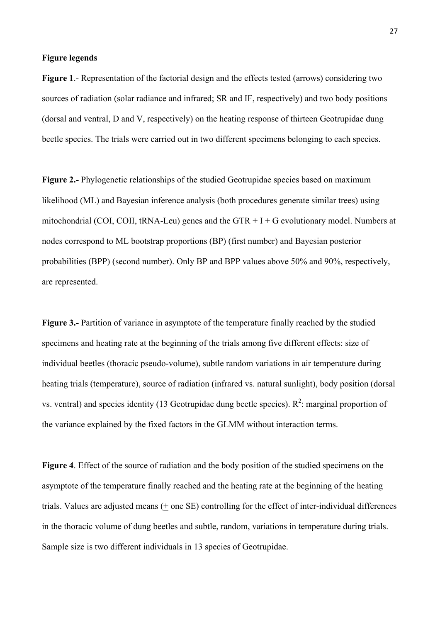### **Figure legends**

**Figure 1**.- Representation of the factorial design and the effects tested (arrows) considering two sources of radiation (solar radiance and infrared; SR and IF, respectively) and two body positions (dorsal and ventral, D and V, respectively) on the heating response of thirteen Geotrupidae dung beetle species. The trials were carried out in two different specimens belonging to each species.

**Figure 2.-** Phylogenetic relationships of the studied Geotrupidae species based on maximum likelihood (ML) and Bayesian inference analysis (both procedures generate similar trees) using mitochondrial (COI, COII, tRNA-Leu) genes and the GTR  $+$  I  $+$  G evolutionary model. Numbers at nodes correspond to ML bootstrap proportions (BP) (first number) and Bayesian posterior probabilities (BPP) (second number). Only BP and BPP values above 50% and 90%, respectively, are represented.

**Figure 3.-** Partition of variance in asymptote of the temperature finally reached by the studied specimens and heating rate at the beginning of the trials among five different effects: size of individual beetles (thoracic pseudo-volume), subtle random variations in air temperature during heating trials (temperature), source of radiation (infrared vs. natural sunlight), body position (dorsal vs. ventral) and species identity (13 Geotrupidae dung beetle species).  $R^2$ : marginal proportion of the variance explained by the fixed factors in the GLMM without interaction terms.

**Figure 4**. Effect of the source of radiation and the body position of the studied specimens on the asymptote of the temperature finally reached and the heating rate at the beginning of the heating trials. Values are adjusted means (+ one SE) controlling for the effect of inter-individual differences in the thoracic volume of dung beetles and subtle, random, variations in temperature during trials. Sample size is two different individuals in 13 species of Geotrupidae.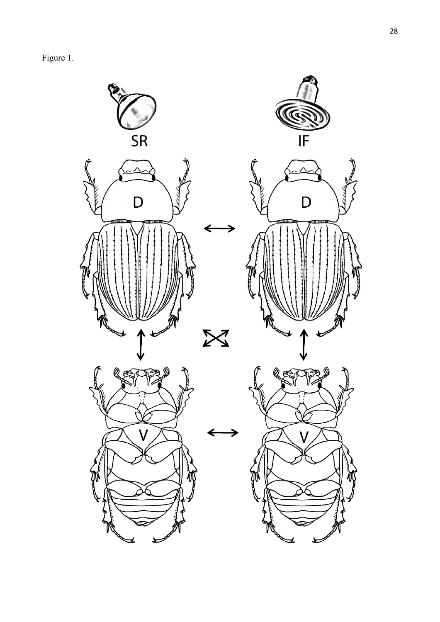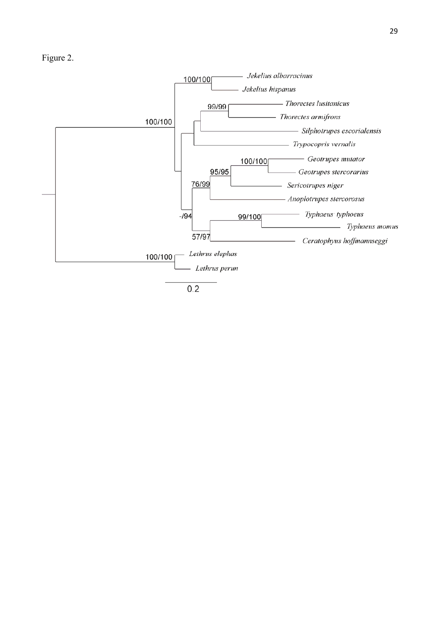

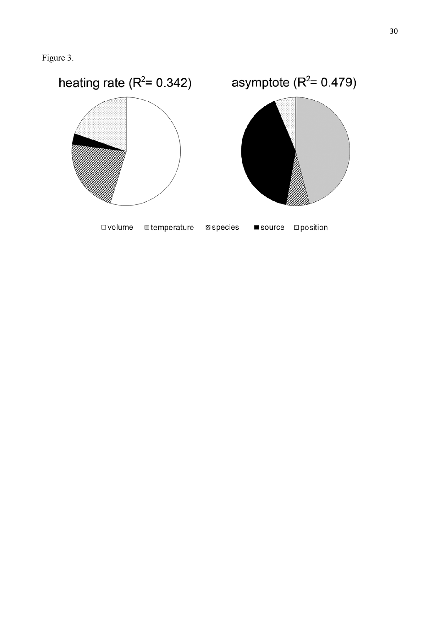